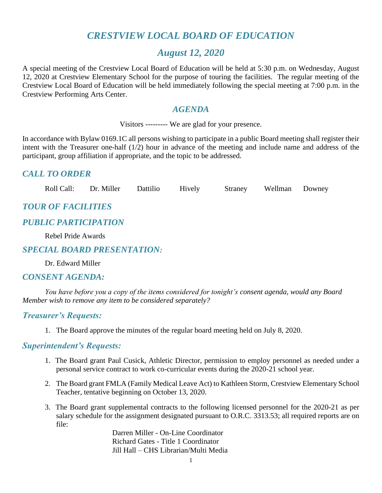# *CRESTVIEW LOCAL BOARD OF EDUCATION*

### *August 12, 2020*

A special meeting of the Crestview Local Board of Education will be held at 5:30 p.m. on Wednesday, August 12, 2020 at Crestview Elementary School for the purpose of touring the facilities. The regular meeting of the Crestview Local Board of Education will be held immediately following the special meeting at 7:00 p.m. in the Crestview Performing Arts Center.

#### *AGENDA*

Visitors --------- We are glad for your presence.

In accordance with Bylaw 0169.1C all persons wishing to participate in a public Board meeting shall register their intent with the Treasurer one-half (1/2) hour in advance of the meeting and include name and address of the participant, group affiliation if appropriate, and the topic to be addressed.

### *CALL TO ORDER*

Roll Call: Dr. Miller Dattilio Hively Straney Wellman Downey

### *TOUR OF FACILITIES*

#### *PUBLIC PARTICIPATION*

Rebel Pride Awards

#### *SPECIAL BOARD PRESENTATION:*

Dr. Edward Miller

#### *CONSENT AGENDA:*

*You have before you a copy of the items considered for tonight's consent agenda, would any Board Member wish to remove any item to be considered separately?*

#### *Treasurer's Requests:*

1. The Board approve the minutes of the regular board meeting held on July 8, 2020.

#### *Superintendent's Requests:*

- 1. The Board grant Paul Cusick, Athletic Director, permission to employ personnel as needed under a personal service contract to work co-curricular events during the 2020-21 school year.
- 2. The Board grant FMLA (Family Medical Leave Act) to Kathleen Storm, Crestview Elementary School Teacher, tentative beginning on October 13, 2020.
- 3. The Board grant supplemental contracts to the following licensed personnel for the 2020-21 as per salary schedule for the assignment designated pursuant to O.R.C. 3313.53; all required reports are on file:

Darren Miller - On-Line Coordinator Richard Gates - Title 1 Coordinator Jill Hall – CHS Librarian/Multi Media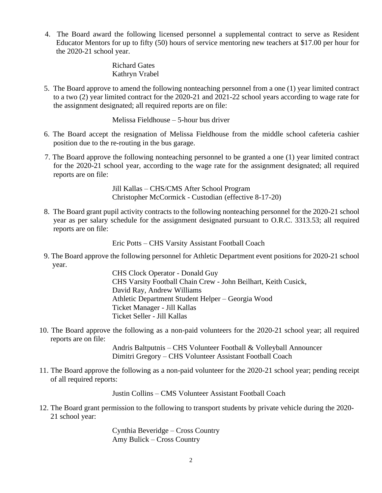4. The Board award the following licensed personnel a supplemental contract to serve as Resident Educator Mentors for up to fifty (50) hours of service mentoring new teachers at \$17.00 per hour for the 2020-21 school year.

> Richard Gates Kathryn Vrabel

 5. The Board approve to amend the following nonteaching personnel from a one (1) year limited contract to a two (2) year limited contract for the 2020-21 and 2021-22 school years according to wage rate for the assignment designated; all required reports are on file:

Melissa Fieldhouse – 5-hour bus driver

- 6. The Board accept the resignation of Melissa Fieldhouse from the middle school cafeteria cashier position due to the re-routing in the bus garage.
- 7. The Board approve the following nonteaching personnel to be granted a one (1) year limited contract for the 2020-21 school year, according to the wage rate for the assignment designated; all required reports are on file:

Jill Kallas – CHS/CMS After School Program Christopher McCormick - Custodian (effective 8-17-20)

 8. The Board grant pupil activity contracts to the following nonteaching personnel for the 2020-21 school year as per salary schedule for the assignment designated pursuant to O.R.C. 3313.53; all required reports are on file:

Eric Potts – CHS Varsity Assistant Football Coach

 9. The Board approve the following personnel for Athletic Department event positions for 2020-21 school year.

> CHS Clock Operator - Donald Guy CHS Varsity Football Chain Crew - John Beilhart, Keith Cusick, David Ray, Andrew Williams Athletic Department Student Helper – Georgia Wood Ticket Manager - Jill Kallas Ticket Seller - Jill Kallas

10. The Board approve the following as a non-paid volunteers for the 2020-21 school year; all required reports are on file:

> Andris Baltputnis – CHS Volunteer Football & Volleyball Announcer Dimitri Gregory – CHS Volunteer Assistant Football Coach

11. The Board approve the following as a non-paid volunteer for the 2020-21 school year; pending receipt of all required reports:

Justin Collins – CMS Volunteer Assistant Football Coach

 12. The Board grant permission to the following to transport students by private vehicle during the 2020- 21 school year:

> Cynthia Beveridge – Cross Country Amy Bulick – Cross Country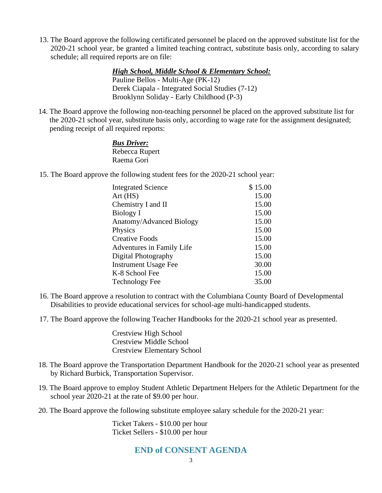13. The Board approve the following certificated personnel be placed on the approved substitute list for the 2020-21 school year, be granted a limited teaching contract, substitute basis only, according to salary schedule; all required reports are on file:

> *High School, Middle School & Elementary School:* Pauline Bellos - Multi-Age (PK-12) Derek Ciapala - Integrated Social Studies (7-12) Brooklynn Soliday - Early Childhood (P-3)

14. The Board approve the following non-teaching personnel be placed on the approved substitute list for the 2020-21 school year, substitute basis only, according to wage rate for the assignment designated; pending receipt of all required reports:

#### *Bus Driver:* Rebecca Rupert Raema Gori

15. The Board approve the following student fees for the 2020-21 school year:

| <b>Integrated Science</b>   | \$15.00 |
|-----------------------------|---------|
| Art(HS)                     | 15.00   |
| Chemistry I and II          | 15.00   |
| Biology I                   | 15.00   |
| Anatomy/Advanced Biology    | 15.00   |
| Physics                     | 15.00   |
| <b>Creative Foods</b>       | 15.00   |
| Adventures in Family Life   | 15.00   |
| Digital Photography         | 15.00   |
| <b>Instrument Usage Fee</b> | 30.00   |
| K-8 School Fee              | 15.00   |
| <b>Technology Fee</b>       | 35.00   |

- 16. The Board approve a resolution to contract with the Columbiana County Board of Developmental Disabilities to provide educational services for school-age multi-handicapped students.
- 17. The Board approve the following Teacher Handbooks for the 2020-21 school year as presented.

Crestview High School Crestview Middle School Crestview Elementary School

- 18. The Board approve the Transportation Department Handbook for the 2020-21 school year as presented by Richard Burbick, Transportation Supervisor.
- 19. The Board approve to employ Student Athletic Department Helpers for the Athletic Department for the school year 2020-21 at the rate of \$9.00 per hour.
- 20. The Board approve the following substitute employee salary schedule for the 2020-21 year:

Ticket Takers - \$10.00 per hour Ticket Sellers - \$10.00 per hour

#### **END of CONSENT AGENDA**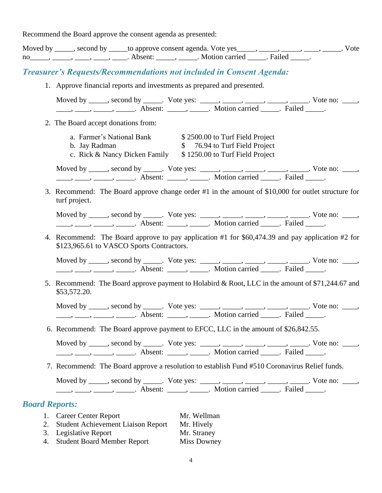Recommend the Board approve the consent agenda as presented:

|                       | Moved by _____, second by _____to approve consent agenda. Vote yes _____, _____, _____, _____, _____. Vote<br>no______, ______, _____, ______, Absent: ______, ______. Motion carried ______. Failed ______.                                                                                                                                                                                                                                                                                                                    |  |
|-----------------------|---------------------------------------------------------------------------------------------------------------------------------------------------------------------------------------------------------------------------------------------------------------------------------------------------------------------------------------------------------------------------------------------------------------------------------------------------------------------------------------------------------------------------------|--|
|                       | <b>Treasurer's Requests/Recommendations not included in Consent Agenda:</b>                                                                                                                                                                                                                                                                                                                                                                                                                                                     |  |
|                       | 1. Approve financial reports and investments as prepared and presented.                                                                                                                                                                                                                                                                                                                                                                                                                                                         |  |
|                       | Moved by _____, second by _____. Vote yes: _____, _____, _____, _____, _____. Vote no: ____,<br>$\frac{1}{1}, \frac{1}{1}, \frac{1}{1}, \frac{1}{1}, \frac{1}{1}, \frac{1}{1}, \frac{1}{1}, \frac{1}{1}, \frac{1}{1}, \frac{1}{1}, \frac{1}{1}, \frac{1}{1}, \frac{1}{1}, \frac{1}{1}, \frac{1}{1}, \frac{1}{1}, \frac{1}{1}, \frac{1}{1}, \frac{1}{1}, \frac{1}{1}, \frac{1}{1}, \frac{1}{1}, \frac{1}{1}, \frac{1}{1}, \frac{1}{1}, \frac{1}{1}, \frac{1}{1}, \frac{1}{1}, \frac{1}{1}, \frac{1}{1}, \frac{1}{1}, \frac{$     |  |
|                       | 2. The Board accept donations from:                                                                                                                                                                                                                                                                                                                                                                                                                                                                                             |  |
|                       | a. Farmer's National Bank \$2500.00 to Turf Field Project<br>\$ 76.94 to Turf Field Project<br>b. Jay Radman<br>c. Rick & Nancy Dicken Family \$1250.00 to Turf Field Project                                                                                                                                                                                                                                                                                                                                                   |  |
|                       | Moved by _____, second by _____. Vote yes: _____, _____, _____, _____, _____. Vote no: ____,<br>$\frac{1}{1}, \frac{1}{1}, \frac{1}{1}, \frac{1}{1}, \frac{1}{1}, \frac{1}{1}, \frac{1}{1}, \frac{1}{1}, \frac{1}{1}, \frac{1}{1}, \frac{1}{1}, \frac{1}{1}, \frac{1}{1}, \frac{1}{1}, \frac{1}{1}, \frac{1}{1}, \frac{1}{1}, \frac{1}{1}, \frac{1}{1}, \frac{1}{1}, \frac{1}{1}, \frac{1}{1}, \frac{1}{1}, \frac{1}{1}, \frac{1}{1}, \frac{1}{1}, \frac{1}{1}, \frac{1}{1}, \frac{1}{1}, \frac{1}{1}, \frac{1}{1}, \frac{$     |  |
|                       | 3. Recommend: The Board approve change order #1 in the amount of \$10,000 for outlet structure for<br>turf project.                                                                                                                                                                                                                                                                                                                                                                                                             |  |
|                       | Moved by _____, second by _____. Vote yes: _____, _____, _____, _____, _____. Vote no: ____,<br>$\frac{1}{\sqrt{1-\frac{1}{2}}}, \frac{1}{\sqrt{1-\frac{1}{2}}}, \frac{1}{\sqrt{1-\frac{1}{2}}}, \frac{1}{\sqrt{1-\frac{1}{2}}}, \frac{1}{\sqrt{1-\frac{1}{2}}}, \frac{1}{\sqrt{1-\frac{1}{2}}}, \frac{1}{\sqrt{1-\frac{1}{2}}}, \frac{1}{\sqrt{1-\frac{1}{2}}}, \frac{1}{\sqrt{1-\frac{1}{2}}}, \frac{1}{\sqrt{1-\frac{1}{2}}}, \frac{1}{\sqrt{1-\frac{1}{2}}}, \frac{1}{\sqrt{1-\frac{1}{2}}}, \frac{1}{\sqrt{1-\frac{1}{2}}$ |  |
|                       | 4. Recommend: The Board approve to pay application #1 for \$60,474.39 and pay application #2 for<br>\$123,965.61 to VASCO Sports Contractors.                                                                                                                                                                                                                                                                                                                                                                                   |  |
|                       | Moved by _____, second by _____. Vote yes: _____, _____, _____, _____, _____. Vote no: ____,<br>$\frac{1}{1}, \frac{1}{1}, \frac{1}{1}, \frac{1}{1}, \frac{1}{1}, \frac{1}{1}, \frac{1}{1}, \frac{1}{1}, \frac{1}{1}, \frac{1}{1}, \frac{1}{1}, \frac{1}{1}, \frac{1}{1}, \frac{1}{1}, \frac{1}{1}, \frac{1}{1}, \frac{1}{1}, \frac{1}{1}, \frac{1}{1}, \frac{1}{1}, \frac{1}{1}, \frac{1}{1}, \frac{1}{1}, \frac{1}{1}, \frac{1}{1}, \frac{1}{1}, \frac{1}{1}, \frac{1}{1}, \frac{1}{1}, \frac{1}{1}, \frac{1}{1}, \frac{$     |  |
|                       | 5. Recommend: The Board approve payment to Holabird & Root, LLC in the amount of \$71,244.67 and<br>\$53,572.20.                                                                                                                                                                                                                                                                                                                                                                                                                |  |
|                       | Moved by _____, second by _____. Vote yes: _____, _____, _____, _____, _____. Vote no: ____,                                                                                                                                                                                                                                                                                                                                                                                                                                    |  |
|                       | 6. Recommend: The Board approve payment to EFCC, LLC in the amount of \$26,842.55.                                                                                                                                                                                                                                                                                                                                                                                                                                              |  |
|                       | Moved by _____, second by _____. Vote yes: _____, _____, _____, _____, _____. Vote no: ____,<br>$\frac{1}{1}, \frac{1}{1}, \frac{1}{1}, \frac{1}{1}, \frac{1}{1}, \frac{1}{1}, \frac{1}{1}, \frac{1}{1}, \frac{1}{1}, \frac{1}{1}, \frac{1}{1}, \frac{1}{1}, \frac{1}{1}, \frac{1}{1}, \frac{1}{1}, \frac{1}{1}, \frac{1}{1}, \frac{1}{1}, \frac{1}{1}, \frac{1}{1}, \frac{1}{1}, \frac{1}{1}, \frac{1}{1}, \frac{1}{1}, \frac{1}{1}, \frac{1}{1}, \frac{1}{1}, \frac{1}{1}, \frac{1}{1}, \frac{1}{1}, \frac{1}{1}, \frac{$     |  |
|                       | 7. Recommend: The Board approve a resolution to establish Fund #510 Coronavirus Relief funds.                                                                                                                                                                                                                                                                                                                                                                                                                                   |  |
|                       | Moved by _____, second by _____. Vote yes: _____, _____, _____, _____, _____. Vote no: ____,<br>$\frac{1}{1}, \frac{1}{1}, \frac{1}{1}, \frac{1}{1}, \frac{1}{1}, \frac{1}{1}, \frac{1}{1}, \frac{1}{1}, \frac{1}{1}, \frac{1}{1}, \frac{1}{1}, \frac{1}{1}, \frac{1}{1}, \frac{1}{1}, \frac{1}{1}, \frac{1}{1}, \frac{1}{1}, \frac{1}{1}, \frac{1}{1}, \frac{1}{1}, \frac{1}{1}, \frac{1}{1}, \frac{1}{1}, \frac{1}{1}, \frac{1}{1}, \frac{1}{1}, \frac{1}{1}, \frac{1}{1}, \frac{1}{1}, \frac{1}{1}, \frac{1}{1}, \frac{$     |  |
| <b>Board Reports:</b> |                                                                                                                                                                                                                                                                                                                                                                                                                                                                                                                                 |  |
|                       | 1. Career Center Report<br>Mr. Wellman<br>2. Student Achievement Liaison Report<br>Mr. Hively<br>3. Legislative Report<br>Mr. Straney<br>alive Report<br>ch Deep Member Dene                                                                                                                                                                                                                                                                                                                                                    |  |

4. Student Board Member Report Miss Downey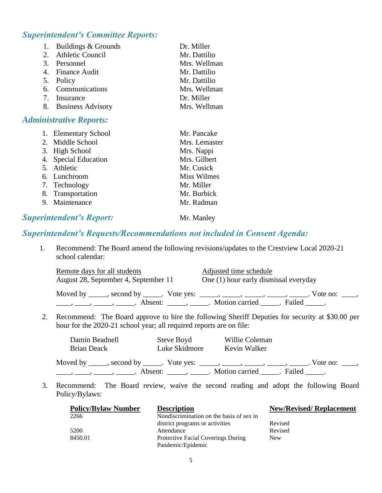## *Superintendent's Committee Reports:*

| 1. Buildings & Grounds | Dr. Miller   |
|------------------------|--------------|
| 2. Athletic Council    | Mr. Dattilio |
| 3. Personnel           | Mrs. Wellman |
| 4. Finance Audit       | Mr. Dattilio |
| 5. Policy              | Mr. Dattilio |
| 6. Communications      | Mrs. Wellman |
| 7. Insurance           | Dr. Miller   |
| 8. Business Advisory   | Mrs. Wellman |
|                        |              |

#### *Administrative Reports:*

| 1. Elementary School | Mr. Pancake        |
|----------------------|--------------------|
| 2. Middle School     | Mrs. Lemaster      |
| 3. High School       | Mrs. Nappi         |
| 4. Special Education | Mrs. Gilbert       |
| 5. Athletic          | Mr. Cusick         |
| 6. Lunchroom         | <b>Miss Wilmes</b> |
| 7. Technology        | Mr. Miller         |
| 8. Transportation    | Mr. Burbick        |
| 9. Maintenance       | Mr. Radman         |
|                      |                    |

#### **Superintendent's Report:** Mr. Manley

#### *Superintendent's Requests/Recommendations not included in Consent Agenda:*

1. Recommend: The Board amend the following revisions/updates to the Crestview Local 2020-21 school calendar:

| Remote days for all students                                                       | Adjusted time schedule                |  |
|------------------------------------------------------------------------------------|---------------------------------------|--|
| August 28, September 4, September 11                                               | One (1) hour early dismissal everyday |  |
| Moved by ______, second by ______. Vote yes: ______, ______, ______, ______, _____ | Vote no:                              |  |
| Absent: ______, ______                                                             | Motion carried<br>Failed              |  |

2. Recommend: The Board approve to hire the following Sheriff Deputies for security at \$30.00 per hour for the 2020-21 school year; all required reports are on file:

| Damin Beadnell                                                                     | Steve Boyd             | Willie Coleman   |                        |  |
|------------------------------------------------------------------------------------|------------------------|------------------|------------------------|--|
| Brian Deack                                                                        | Luke Skidmore          | Kevin Walker     |                        |  |
| Moved by ______, second by ______. Vote yes: ______, ______, ______, ______, _____ |                        |                  | . Vote no: $\_\_\_\_\$ |  |
|                                                                                    | Absent: ______, ______ | Motion carried . | Failed                 |  |

3. Recommend: The Board review, waive the second reading and adopt the following Board Policy/Bylaws:

| <b>Policy/Bylaw Number</b> | <b>Description</b>                        | <b>New/Revised/ Replacement</b> |
|----------------------------|-------------------------------------------|---------------------------------|
| 2266                       | Nondiscrimination on the basis of sex in  |                                 |
|                            | district programs or activities           | Revised                         |
| 5200                       | Attendance                                | Revised                         |
| 8450.01                    | <b>Protective Facial Coverings During</b> | <b>New</b>                      |
|                            | Pandemic/Epidemic                         |                                 |